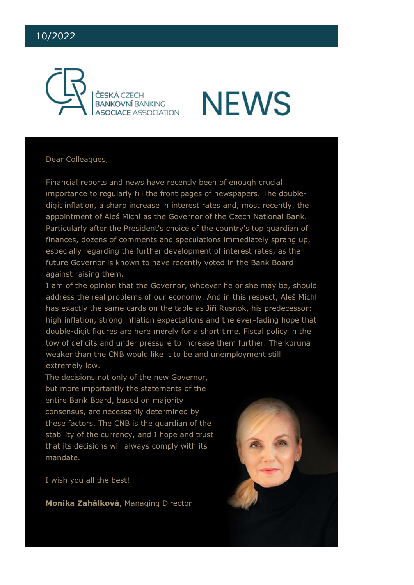# 10/2022





Dear Colleagues,

Financial reports and news have recently been of enough crucial importance to regularly fill the front pages of newspapers. The doubledigit inflation, a sharp increase in interest rates and, most recently, the appointment of Aleš Michl as the Governor of the Czech National Bank. Particularly after the President's choice of the country's top guardian of finances, dozens of comments and speculations immediately sprang up, especially regarding the further development of interest rates, as the future Governor is known to have recently voted in the Bank Board against raising them.

I am of the opinion that the Governor, whoever he or she may be, should address the real problems of our economy. And in this respect, Aleš Michl has exactly the same cards on the table as Jiří Rusnok, his predecessor: high inflation, strong inflation expectations and the ever-fading hope that double-digit figures are here merely for a short time. Fiscal policy in the tow of deficits and under pressure to increase them further. The koruna weaker than the CNB would like it to be and unemployment still extremely low.

The decisions not only of the new Governor, but more importantly the statements of the entire Bank Board, based on majority consensus, are necessarily determined by these factors. The CNB is the guardian of the stability of the currency, and I hope and trust that its decisions will always comply with its mandate.

I wish you all the best!

**Monika Zahálková**, Managing Director

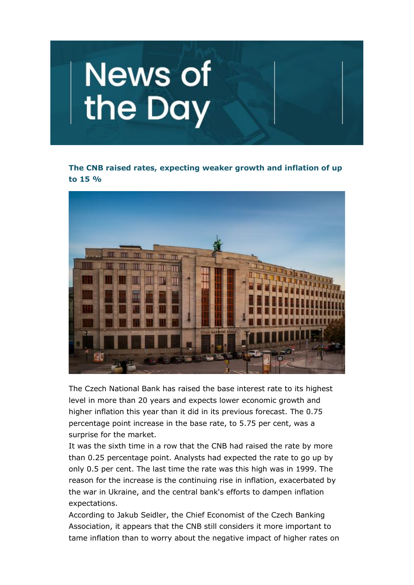

**The CNB raised rates, expecting weaker growth and inflation of up to 15 %**



The Czech National Bank has raised the base interest rate to its highest level in more than 20 years and expects lower economic growth and higher inflation this year than it did in its previous forecast. The 0.75 percentage point increase in the base rate, to 5.75 per cent, was a surprise for the market.

It was the sixth time in a row that the CNB had raised the rate by more than 0.25 percentage point. Analysts had expected the rate to go up by only 0.5 per cent. The last time the rate was this high was in 1999. The reason for the increase is the continuing rise in inflation, exacerbated by the war in Ukraine, and the central bank's efforts to dampen inflation expectations.

According to Jakub Seidler, the Chief Economist of the Czech Banking Association, it appears that the CNB still considers it more important to tame inflation than to worry about the negative impact of higher rates on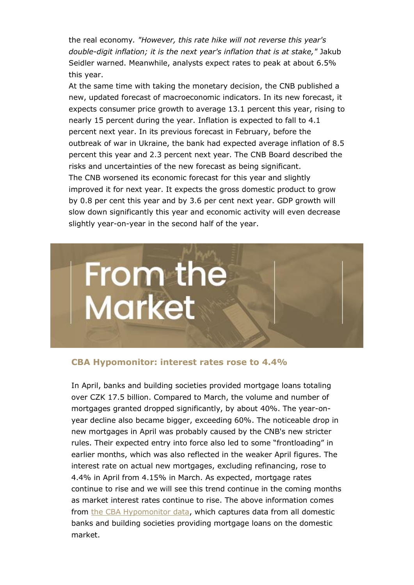the real economy*. "However, this rate hike will not reverse this year's double-digit inflation; it is the next year's inflation that is at stake,"* Jakub Seidler warned. Meanwhile, analysts expect rates to peak at about 6.5% this year.

At the same time with taking the monetary decision, the CNB published a new, updated forecast of macroeconomic indicators. In its new forecast, it expects consumer price growth to average 13.1 percent this year, rising to nearly 15 percent during the year. Inflation is expected to fall to 4.1 percent next year. In its previous forecast in February, before the outbreak of war in Ukraine, the bank had expected average inflation of 8.5 percent this year and 2.3 percent next year. The CNB Board described the risks and uncertainties of the new forecast as being significant. The CNB worsened its economic forecast for this year and slightly improved it for next year. It expects the gross domestic product to grow by 0.8 per cent this year and by 3.6 per cent next year. GDP growth will slow down significantly this year and economic activity will even decrease slightly year-on-year in the second half of the year.



## **CBA Hypomonitor: interest rates rose to 4.4%**

In April, banks and building societies provided mortgage loans totaling over CZK 17.5 billion. Compared to March, the volume and number of mortgages granted dropped significantly, by about 40%. The year-onyear decline also became bigger, exceeding 60%. The noticeable drop in new mortgages in April was probably caused by the CNB's new stricter rules. Their expected entry into force also led to some "frontloading" in earlier months, which was also reflected in the weaker April figures. The interest rate on actual new mortgages, excluding refinancing, rose to 4.4% in April from 4.15% in March. As expected, mortgage rates continue to rise and we will see this trend continue in the coming months as market interest rates continue to rise. The above information comes from [the CBA Hypomonitor data,](https://cbaonline.cz/cba-hypomonitor-urokove-sazby-vzrostly-na-44-) which captures data from all domestic banks and building societies providing mortgage loans on the domestic market.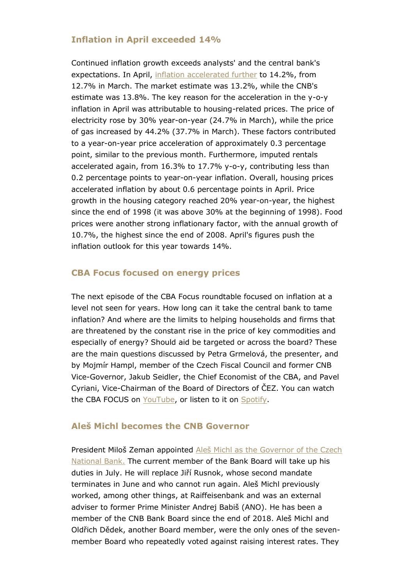# **Inflation in April exceeded 14%**

Continued inflation growth exceeds analysts' and the central bank's expectations. In April, [inflation accelerated further](https://cbaonline.cz/inflace-zrychlila-na-142-vyrazne-nad-ocekavani) to 14.2%, from 12.7% in March. The market estimate was 13.2%, while the CNB's estimate was 13.8%. The key reason for the acceleration in the y-o-y inflation in April was attributable to housing-related prices. The price of electricity rose by 30% year-on-year (24.7% in March), while the price of gas increased by 44.2% (37.7% in March). These factors contributed to a year-on-year price acceleration of approximately 0.3 percentage point, similar to the previous month. Furthermore, imputed rentals accelerated again, from 16.3% to 17.7% y-o-y, contributing less than 0.2 percentage points to year-on-year inflation. Overall, housing prices accelerated inflation by about 0.6 percentage points in April. Price growth in the housing category reached 20% year-on-year, the highest since the end of 1998 (it was above 30% at the beginning of 1998). Food prices were another strong inflationary factor, with the annual growth of 10.7%, the highest since the end of 2008. April's figures push the inflation outlook for this year towards 14%.

# **CBA Focus focused on energy prices**

The next episode of the CBA Focus roundtable focused on inflation at a level not seen for years. How long can it take the central bank to tame inflation? And where are the limits to helping households and firms that are threatened by the constant rise in the price of key commodities and especially of energy? Should aid be targeted or across the board? These are the main questions discussed by Petra Grmelová, the presenter, and by Mojmír Hampl, member of the Czech Fiscal Council and former CNB Vice-Governor, Jakub Seidler, the Chief Economist of the CBA, and Pavel Cyriani, Vice-Chairman of the Board of Directors of ČEZ. You can watch the CBA FOCUS on [YouTube,](https://www.youtube.com/watch?v=ngFMMZvcRj8) or listen to it on [Spotify.](https://open.spotify.com/episode/2BrpwZiuzTIysrSPxVZ1wZ?si=YF4xEkMWQH2wk22KL6uqAw)

# **Aleš Michl becomes the CNB Governor**

President Miloš Zeman appointed [Aleš Michl as the Governor of the Czech](https://www.cnb.cz/cs/cnb-news/tiskove-zpravy/Novym-guvernerem-CNB-byl-jmenovan-Ales-Michl/)  [National Bank.](https://www.cnb.cz/cs/cnb-news/tiskove-zpravy/Novym-guvernerem-CNB-byl-jmenovan-Ales-Michl/) The current member of the Bank Board will take up his duties in July. He will replace Jiří Rusnok, whose second mandate terminates in June and who cannot run again. Aleš Michl previously worked, among other things, at Raiffeisenbank and was an external adviser to former Prime Minister Andrej Babiš (ANO). He has been a member of the CNB Bank Board since the end of 2018. Aleš Michl and Oldřich Dědek, another Board member, were the only ones of the sevenmember Board who repeatedly voted against raising interest rates. They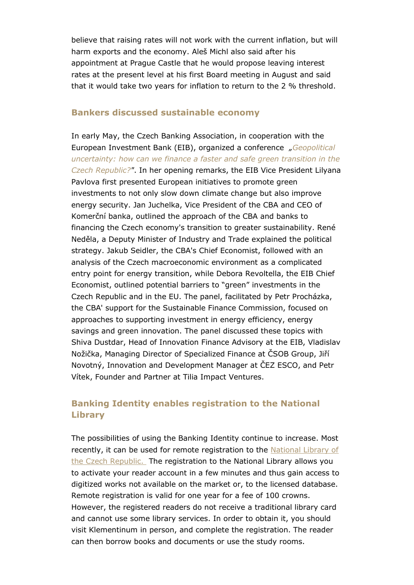believe that raising rates will not work with the current inflation, but will harm exports and the economy. Aleš Michl also said after his appointment at Prague Castle that he would propose leaving interest rates at the present level at his first Board meeting in August and said that it would take two years for inflation to return to the 2 % threshold.

### **Bankers discussed sustainable economy**

In early May, the Czech Banking Association, in cooperation with the European Investment Bank (EIB), organized a conference *"[Geopolitical](https://events.eib.org/event/df08a7a3-838a-4fa2-8765-fa258c0dc333/websitePage:9d6d23f5-8634-48e3-8c4b-76df9051f068?previewToken=cb65470d932d99c412544bf1074a71c9)  [uncertainty: how can we finance a faster and safe green transition in the](https://events.eib.org/event/df08a7a3-838a-4fa2-8765-fa258c0dc333/websitePage:9d6d23f5-8634-48e3-8c4b-76df9051f068?previewToken=cb65470d932d99c412544bf1074a71c9)  [Czech Republic?"](https://events.eib.org/event/df08a7a3-838a-4fa2-8765-fa258c0dc333/websitePage:9d6d23f5-8634-48e3-8c4b-76df9051f068?previewToken=cb65470d932d99c412544bf1074a71c9)*. In her opening remarks, the EIB Vice President Lilyana Pavlova first presented European initiatives to promote green investments to not only slow down climate change but also improve energy security. Jan Juchelka, Vice President of the CBA and CEO of Komerční banka, outlined the approach of the CBA and banks to financing the Czech economy's transition to greater sustainability. René Neděla, a Deputy Minister of Industry and Trade explained the political strategy. Jakub Seidler, the CBA's Chief Economist, followed with an analysis of the Czech macroeconomic environment as a complicated entry point for energy transition, while Debora Revoltella, the EIB Chief Economist, outlined potential barriers to "green" investments in the Czech Republic and in the EU. The panel, facilitated by Petr Procházka, the CBA' support for the Sustainable Finance Commission, focused on approaches to supporting investment in energy efficiency, energy savings and green innovation. The panel discussed these topics with Shiva Dustdar, Head of Innovation Finance Advisory at the EIB, Vladislav Nožička, Managing Director of Specialized Finance at ČSOB Group, Jiří Novotný, Innovation and Development Manager at ČEZ ESCO, and Petr Vítek, Founder and Partner at Tilia Impact Ventures.

# **Banking Identity enables registration to the National Library**

The possibilities of using the Banking Identity continue to increase. Most recently, it can be used for remote registration to the National Library of [the Czech Republic.](https://text.nkp.cz/aktuality/novinky-titulni-strana/registrace-bankid) The registration to the National Library allows you to activate your reader account in a few minutes and thus gain access to digitized works not available on the market or, to the licensed database. Remote registration is valid for one year for a fee of 100 crowns. However, the registered readers do not receive a traditional library card and cannot use some library services. In order to obtain it, you should visit Klementinum in person, and complete the registration. The reader can then borrow books and documents or use the study rooms.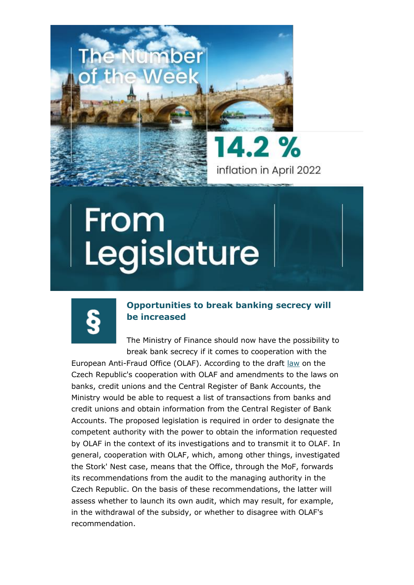



14.2 % inflation in April 2022

# From Legislature

# **Opportunities to break banking secrecy will be increased**

The Ministry of Finance should now have the possibility to break bank secrecy if it comes to cooperation with the

European Anti-Fraud Office (OLAF). According to the draft [law](https://apps.odok.cz/veklep-detail?pid=KORNC3MFLG46) on the Czech Republic's cooperation with OLAF and amendments to the laws on banks, credit unions and the Central Register of Bank Accounts, the Ministry would be able to request a list of transactions from banks and credit unions and obtain information from the Central Register of Bank Accounts. The proposed legislation is required in order to designate the competent authority with the power to obtain the information requested by OLAF in the context of its investigations and to transmit it to OLAF. In general, cooperation with OLAF, which, among other things, investigated the Stork' Nest case, means that the Office, through the MoF, forwards its recommendations from the audit to the managing authority in the Czech Republic. On the basis of these recommendations, the latter will assess whether to launch its own audit, which may result, for example, in the withdrawal of the subsidy, or whether to disagree with OLAF's recommendation.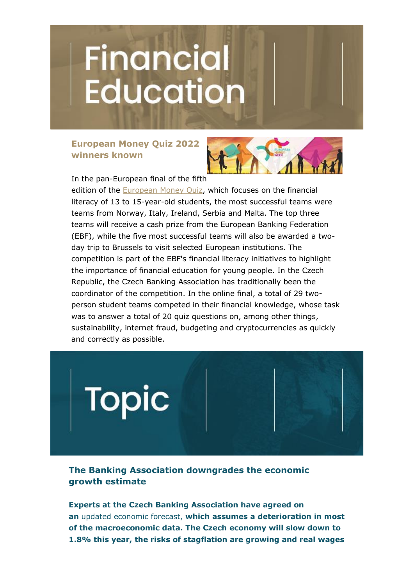# **Financial**<br>Education

# **European Money Quiz 2022 winners known**



In the pan-European final of the fifth

edition of the [European Money Quiz,](https://www.ebf.eu/ebf-media-centre/updates/european-money-quiz-2022-winners/) which focuses on the financial literacy of 13 to 15-year-old students, the most successful teams were teams from Norway, Italy, Ireland, Serbia and Malta. The top three teams will receive a cash prize from the European Banking Federation (EBF), while the five most successful teams will also be awarded a twoday trip to Brussels to visit selected European institutions. The competition is part of the EBF's financial literacy initiatives to highlight the importance of financial education for young people. In the Czech Republic, the Czech Banking Association has traditionally been the coordinator of the competition. In the online final, a total of 29 twoperson student teams competed in their financial knowledge, whose task was to answer a total of 20 quiz questions on, among other things, sustainability, internet fraud, budgeting and cryptocurrencies as quickly and correctly as possible.



**The Banking Association downgrades the economic growth estimate**

**Experts at the Czech Banking Association have agreed on an** [updated economic forecast,](https://cbaonline.cz/cba-makroekonomicka-prognoza) **which assumes a deterioration in most of the macroeconomic data. The Czech economy will slow down to 1.8% this year, the risks of stagflation are growing and real wages**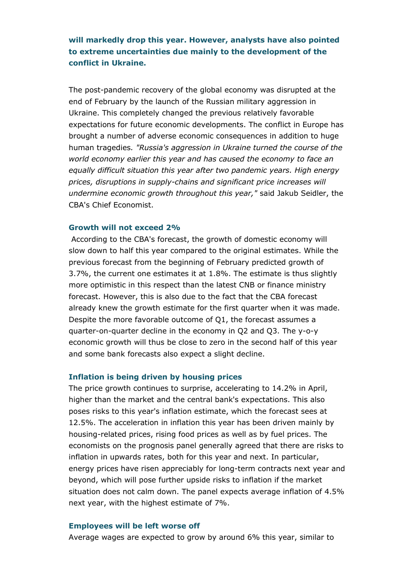**will markedly drop this year. However, analysts have also pointed to extreme uncertainties due mainly to the development of the conflict in Ukraine.**

The post-pandemic recovery of the global economy was disrupted at the end of February by the launch of the Russian military aggression in Ukraine. This completely changed the previous relatively favorable expectations for future economic developments. The conflict in Europe has brought a number of adverse economic consequences in addition to huge human tragedies*. "Russia's aggression in Ukraine turned the course of the world economy earlier this year and has caused the economy to face an equally difficult situation this year after two pandemic years. High energy prices, disruptions in supply-chains and significant price increases will undermine economic growth throughout this year,"* said Jakub Seidler, the CBA's Chief Economist.

#### **Growth will not exceed 2%**

According to the CBA's forecast, the growth of domestic economy will slow down to half this year compared to the original estimates. While the previous forecast from the beginning of February predicted growth of 3.7%, the current one estimates it at 1.8%. The estimate is thus slightly more optimistic in this respect than the latest CNB or finance ministry forecast. However, this is also due to the fact that the CBA forecast already knew the growth estimate for the first quarter when it was made. Despite the more favorable outcome of Q1, the forecast assumes a quarter-on-quarter decline in the economy in Q2 and Q3. The y-o-y economic growth will thus be close to zero in the second half of this year and some bank forecasts also expect a slight decline.

## **Inflation is being driven by housing prices**

The price growth continues to surprise, accelerating to 14.2% in April, higher than the market and the central bank's expectations. This also poses risks to this year's inflation estimate, which the forecast sees at 12.5%. The acceleration in inflation this year has been driven mainly by housing-related prices, rising food prices as well as by fuel prices. The economists on the prognosis panel generally agreed that there are risks to inflation in upwards rates, both for this year and next. In particular, energy prices have risen appreciably for long-term contracts next year and beyond, which will pose further upside risks to inflation if the market situation does not calm down. The panel expects average inflation of 4.5% next year, with the highest estimate of 7%.

#### **Employees will be left worse off**

Average wages are expected to grow by around 6% this year, similar to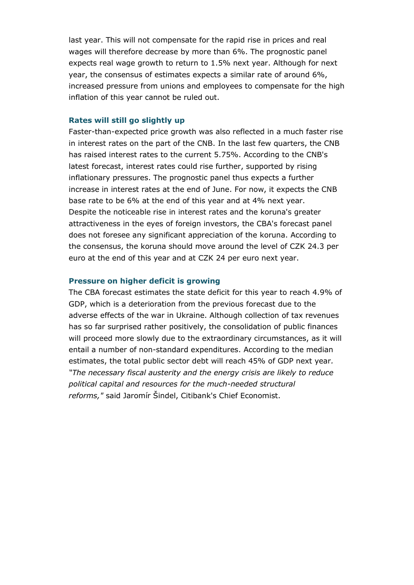last year. This will not compensate for the rapid rise in prices and real wages will therefore decrease by more than 6%. The prognostic panel expects real wage growth to return to 1.5% next year. Although for next year, the consensus of estimates expects a similar rate of around 6%, increased pressure from unions and employees to compensate for the high inflation of this year cannot be ruled out.

#### **Rates will still go slightly up**

Faster-than-expected price growth was also reflected in a much faster rise in interest rates on the part of the CNB. In the last few quarters, the CNB has raised interest rates to the current 5.75%. According to the CNB's latest forecast, interest rates could rise further, supported by rising inflationary pressures. The prognostic panel thus expects a further increase in interest rates at the end of June. For now, it expects the CNB base rate to be 6% at the end of this year and at 4% next year. Despite the noticeable rise in interest rates and the koruna's greater attractiveness in the eyes of foreign investors, the CBA's forecast panel does not foresee any significant appreciation of the koruna. According to the consensus, the koruna should move around the level of CZK 24.3 per euro at the end of this year and at CZK 24 per euro next year.

#### **Pressure on higher deficit is growing**

The CBA forecast estimates the state deficit for this year to reach 4.9% of GDP, which is a deterioration from the previous forecast due to the adverse effects of the war in Ukraine. Although collection of tax revenues has so far surprised rather positively, the consolidation of public finances will proceed more slowly due to the extraordinary circumstances, as it will entail a number of non-standard expenditures. According to the median estimates, the total public sector debt will reach 45% of GDP next year*. "The necessary fiscal austerity and the energy crisis are likely to reduce political capital and resources for the much-needed structural reforms,"* said Jaromír Šindel, Citibank's Chief Economist.